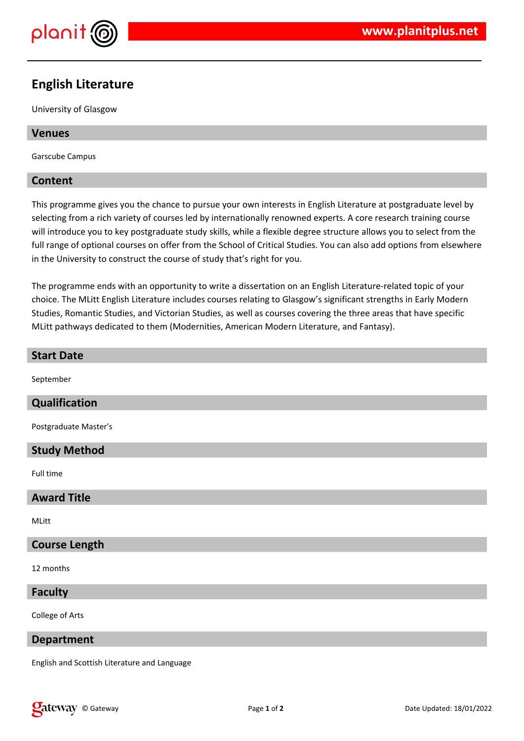

# **English Literature**

University of Glasgow

## **Venues**

Garscube Campus

## **Content**

This programme gives you the chance to pursue your own interests in English Literature at postgraduate level by selecting from a rich variety of courses led by internationally renowned experts. A core research training course will introduce you to key postgraduate study skills, while a flexible degree structure allows you to select from the full range of optional courses on offer from the School of Critical Studies. You can also add options from elsewhere in the University to construct the course of study that's right for you.

The programme ends with an opportunity to write a dissertation on an English Literature-related topic of your choice. The MLitt English Literature includes courses relating to Glasgow's significant strengths in Early Modern Studies, Romantic Studies, and Victorian Studies, as well as courses covering the three areas that have specific MLitt pathways dedicated to them (Modernities, American Modern Literature, and Fantasy).

#### **Start Date**

September

## **Qualification**

Postgraduate Master's

#### **Study Method**

Full time

### **Award Title**

MLitt

#### **Course Length**

12 months

## **Faculty**

College of Arts

#### **Department**

English and Scottish Literature and Language